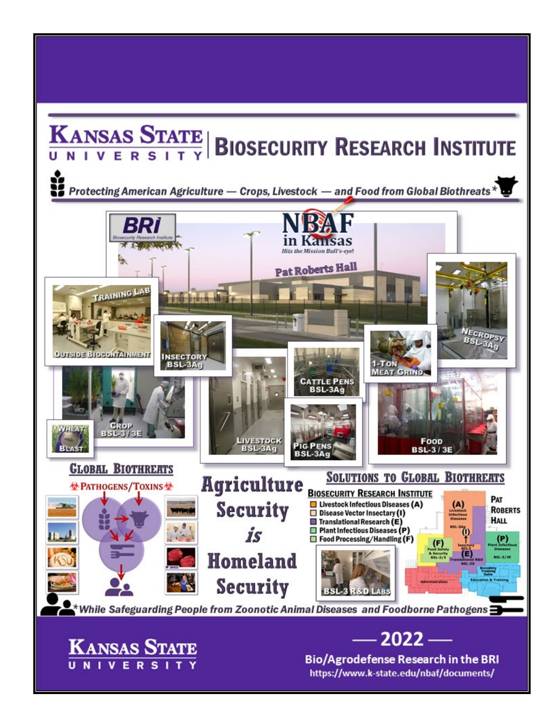## **KANSAS STATE BIOSECURITY RESEARCH INSTITUTE**

Protecting American Agriculture — Crops, Livestock — and Food from Global Biothreats\*



https://www.k-state.edu/nbaf/documents/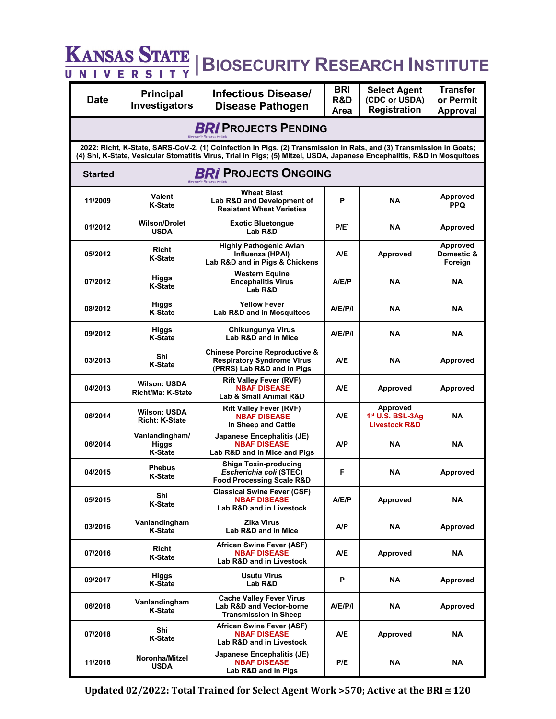|                                               | <b>KANSAS STATE</b>                                 | <b>BIOSECURITY RESEARCH INSTITUTE</b>                                                                                                                                                                                                          |                           |                                                                             |                                                 |  |
|-----------------------------------------------|-----------------------------------------------------|------------------------------------------------------------------------------------------------------------------------------------------------------------------------------------------------------------------------------------------------|---------------------------|-----------------------------------------------------------------------------|-------------------------------------------------|--|
| IVER<br>U N<br><b>Date</b>                    | S <sub>1</sub><br><b>Principal</b><br>Investigators | <b>Infectious Disease/</b><br><b>Disease Pathogen</b>                                                                                                                                                                                          | <b>BRI</b><br>R&D<br>Area | <b>Select Agent</b><br>(CDC or USDA)<br><b>Registration</b>                 | <b>Transfer</b><br>or Permit<br><b>Approval</b> |  |
| <b>BRI PROJECTS PENDING</b>                   |                                                     |                                                                                                                                                                                                                                                |                           |                                                                             |                                                 |  |
|                                               |                                                     | 2022: Richt, K-State, SARS-CoV-2, (1) Coinfection in Pigs, (2) Transmission in Rats, and (3) Transmission in Goats;<br>(4) Shi, K-State, Vesicular Stomatitis Virus, Trial in Pigs; (5) Mitzel, USDA, Japanese Encephalitis, R&D in Mosquitoes |                           |                                                                             |                                                 |  |
| <b>BRI PROJECTS ONGOING</b><br><b>Started</b> |                                                     |                                                                                                                                                                                                                                                |                           |                                                                             |                                                 |  |
| 11/2009                                       | <b>Valent</b><br><b>K-State</b>                     | <b>Wheat Blast</b><br>Lab R&D and Development of<br><b>Resistant Wheat Varieties</b>                                                                                                                                                           | P                         | <b>NA</b>                                                                   | Approved<br><b>PPQ</b>                          |  |
| 01/2012                                       | <b>Wilson/Drolet</b><br><b>USDA</b>                 | <b>Exotic Bluetongue</b><br>Lab R&D                                                                                                                                                                                                            | P/E`                      | <b>NA</b>                                                                   | <b>Approved</b>                                 |  |
| 05/2012                                       | Richt<br><b>K-State</b>                             | <b>Highly Pathogenic Avian</b><br>Influenza (HPAI)<br>Lab R&D and in Pigs & Chickens                                                                                                                                                           | A/E                       | <b>Approved</b>                                                             | <b>Approved</b><br>Domestic &<br>Foreign        |  |
| 07/2012                                       | <b>Higgs</b><br><b>K-State</b>                      | <b>Western Equine</b><br><b>Encephalitis Virus</b><br>Lab R&D                                                                                                                                                                                  | A/E/P                     | <b>NA</b>                                                                   | NA                                              |  |
| 08/2012                                       | Higgs<br><b>K-State</b>                             | <b>Yellow Fever</b><br>Lab R&D and in Mosquitoes                                                                                                                                                                                               | A/E/P/I                   | <b>NA</b>                                                                   | <b>NA</b>                                       |  |
| 09/2012                                       | Higgs<br><b>K-State</b>                             | Chikungunya Virus<br>Lab R&D and in Mice                                                                                                                                                                                                       | A/E/P/I                   | <b>NA</b>                                                                   | <b>NA</b>                                       |  |
| 03/2013                                       | Shi<br><b>K-State</b>                               | <b>Chinese Porcine Reproductive &amp;</b><br><b>Respiratory Syndrome Virus</b><br>(PRRS) Lab R&D and in Pigs                                                                                                                                   | A/E                       | <b>NA</b>                                                                   | <b>Approved</b>                                 |  |
| 04/2013                                       | <b>Wilson: USDA</b><br>Richt/Ma: K-State            | <b>Rift Valley Fever (RVF)</b><br><b>NBAF DISEASE</b><br>Lab & Small Animal R&D                                                                                                                                                                | A/E                       | <b>Approved</b>                                                             | <b>Approved</b>                                 |  |
| 06/2014                                       | <b>Wilson: USDA</b><br><b>Richt: K-State</b>        | <b>Rift Valley Fever (RVF)</b><br><b>NBAF DISEASE</b><br>In Sheep and Cattle                                                                                                                                                                   | A/E                       | <b>Approved</b><br>1 <sup>st</sup> U.S. BSL-3Ag<br><b>Livestock R&amp;D</b> | <b>NA</b>                                       |  |
| 06/2014                                       | Vanlandingham/<br>Higgs<br>K-State                  | Japanese Encephalitis (JE)<br><b>NBAF DISEASE</b><br>Lab R&D and in Mice and Pigs                                                                                                                                                              | A/P                       | <b>NA</b>                                                                   | <b>NA</b>                                       |  |
| 04/2015                                       | Phebus<br><b>K-State</b>                            | Shiga Toxin-producing<br>Escherichia coli (STEC)<br><b>Food Processing Scale R&amp;D</b>                                                                                                                                                       | F                         | <b>NA</b>                                                                   | Approved                                        |  |
| 05/2015                                       | Shi<br><b>K-State</b>                               | <b>Classical Swine Fever (CSF)</b><br><b>NBAF DISEASE</b><br>Lab R&D and in Livestock                                                                                                                                                          | A/E/P                     | <b>Approved</b>                                                             | NA                                              |  |
| 03/2016                                       | Vanlandingham<br><b>K-State</b>                     | <b>Zika Virus</b><br>Lab R&D and in Mice                                                                                                                                                                                                       | A/P                       | <b>NA</b>                                                                   | Approved                                        |  |
| 07/2016                                       | Richt<br><b>K-State</b>                             | African Swine Fever (ASF)<br><b>NBAF DISEASE</b><br><b>Lab R&amp;D and in Livestock</b>                                                                                                                                                        | A/E                       | <b>Approved</b>                                                             | NA                                              |  |
| 09/2017                                       | Higgs<br><b>K-State</b>                             | <b>Usutu Virus</b><br>Lab R&D                                                                                                                                                                                                                  | P                         | ΝA                                                                          | Approved                                        |  |
| 06/2018                                       | Vanlandingham<br><b>K-State</b>                     | <b>Cache Valley Fever Virus</b><br><b>Lab R&amp;D and Vector-borne</b><br><b>Transmission in Sheep</b>                                                                                                                                         | A/E/P/I                   | <b>NA</b>                                                                   | Approved                                        |  |
| 07/2018                                       | Shi<br><b>K-State</b>                               | <b>African Swine Fever (ASF)</b><br><b>NBAF DISEASE</b><br>Lab R&D and in Livestock                                                                                                                                                            | A/E                       | <b>Approved</b>                                                             | ΝA                                              |  |
| 11/2018                                       | Noronha/Mitzel<br><b>USDA</b>                       | Japanese Encephalitis (JE)<br><b>NBAF DISEASE</b><br>Lab R&D and in Pigs                                                                                                                                                                       | P/E                       | <b>NA</b>                                                                   | NA                                              |  |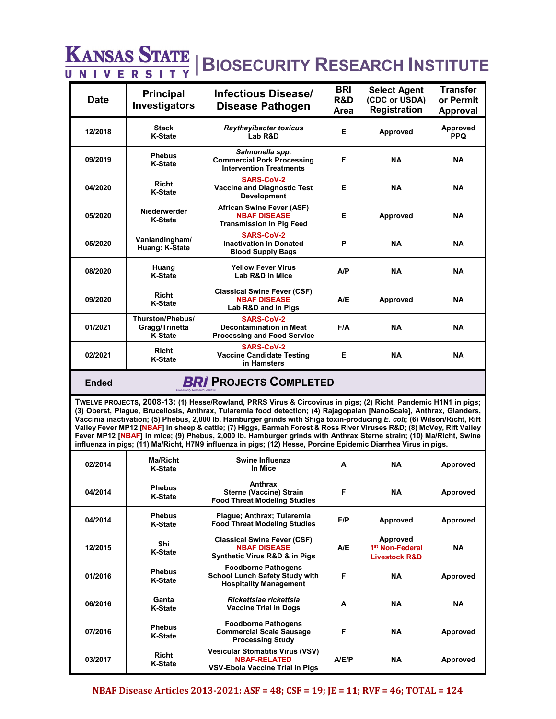## **KANSAS STATE | BIOSECURITY RESEARCH INSTITUTE**

| <b>Date</b> | <b>Principal</b><br>Investigators                    | Infectious Disease/<br>Disease Pathogen                                                   | <b>BRI</b><br>R&D<br>Area | <b>Select Agent</b><br>(CDC or USDA)<br><b>Registration</b> | <b>Transfer</b><br>or Permit<br>Approval |
|-------------|------------------------------------------------------|-------------------------------------------------------------------------------------------|---------------------------|-------------------------------------------------------------|------------------------------------------|
| 12/2018     | <b>Stack</b><br><b>K-State</b>                       | <b>Raythayibacter toxicus</b><br>Lab R&D                                                  | Е                         | Approved                                                    | Approved<br><b>PPQ</b>                   |
| 09/2019     | <b>Phebus</b><br><b>K-State</b>                      | Salmonella spp.<br><b>Commercial Pork Processing</b><br><b>Intervention Treatments</b>    | F                         | <b>NA</b>                                                   | <b>NA</b>                                |
| 04/2020     | Richt<br><b>K-State</b>                              | SARS-CoV-2<br><b>Vaccine and Diagnostic Test</b><br><b>Development</b>                    | E                         | <b>NA</b>                                                   | <b>NA</b>                                |
| 05/2020     | Niederwerder<br><b>K-State</b>                       | African Swine Fever (ASF)<br><b>NBAF DISEASE</b><br><b>Transmission in Pig Feed</b>       | Е                         | Approved                                                    | <b>NA</b>                                |
| 05/2020     | Vanlandingham/<br>Huang: K-State                     | <b>SARS-CoV-2</b><br><b>Inactivation in Donated</b><br><b>Blood Supply Bags</b>           | P                         | <b>NA</b>                                                   | <b>NA</b>                                |
| 08/2020     | Huang<br><b>K-State</b>                              | <b>Yellow Fever Virus</b><br>Lab R&D in Mice                                              | A/P                       | <b>NA</b>                                                   | <b>NA</b>                                |
| 09/2020     | Richt<br><b>K-State</b>                              | <b>Classical Swine Fever (CSF)</b><br><b>NBAF DISEASE</b><br>Lab R&D and in Pigs          | A/E                       | Approved                                                    | <b>NA</b>                                |
| 01/2021     | Thurston/Phebus/<br>Gragg/Trinetta<br><b>K-State</b> | <b>SARS-CoV-2</b><br><b>Decontamination in Meat</b><br><b>Processing and Food Service</b> | F/A                       | <b>NA</b>                                                   | <b>NA</b>                                |
| 02/2021     | Richt<br><b>K-State</b>                              | <b>SARS-CoV-2</b><br><b>Vaccine Candidate Testing</b><br>in Hamsters                      | Е                         | <b>NA</b>                                                   | <b>NA</b>                                |

## **Ended BRI PROJECTS COMPLETED**

**TWELVE PROJECTS, 2008-13: (1) Hesse/Rowland, PRRS Virus & Circovirus in pigs; (2) Richt, Pandemic H1N1 in pigs; (3) Oberst, Plague, Brucellosis, Anthrax, Tularemia food detection; (4) Rajagopalan [NanoScale], Anthrax, Glanders, Vaccinia inactivation; (5) Phebus, 2,000 lb. Hamburger grinds with Shiga toxin-producing** *E. coli***; (6) Wilson/Richt, Rift Valley Fever MP12 [NBAF] in sheep & cattle; (7) Higgs, Barmah Forest & Ross River Viruses R&D; (8) McVey, Rift Valley Fever MP12 [NBAF] in mice; (9) Phebus, 2,000 lb. Hamburger grinds with Anthrax Sterne strain; (10) Ma/Richt, Swine influenza in pigs; (11) Ma/Richt, H7N9 influenza in pigs; (12) Hesse, Porcine Epidemic Diarrhea Virus in pigs.** 

| 02/2014 | Ma/Richt<br><b>K-State</b>      | Swine Influenza<br>In Mice                                                                           | A     | <b>NA</b>                                                           | Approved  |
|---------|---------------------------------|------------------------------------------------------------------------------------------------------|-------|---------------------------------------------------------------------|-----------|
| 04/2014 | <b>Phebus</b><br><b>K-State</b> | Anthrax<br><b>Sterne (Vaccine) Strain</b><br><b>Food Threat Modeling Studies</b>                     | F     | <b>NA</b>                                                           | Approved  |
| 04/2014 | <b>Phebus</b><br><b>K-State</b> | Plague; Anthrax; Tularemia<br><b>Food Threat Modeling Studies</b>                                    | F/P   | <b>Approved</b>                                                     | Approved  |
| 12/2015 | Shi<br><b>K-State</b>           | <b>Classical Swine Fever (CSF)</b><br><b>NBAF DISEASE</b><br>Synthetic Virus R&D & in Pigs           | A/E   | Approved<br>1 <sup>st</sup> Non-Federal<br><b>Livestock R&amp;D</b> | <b>NA</b> |
| 01/2016 | <b>Phebus</b><br><b>K-State</b> | <b>Foodborne Pathogens</b><br><b>School Lunch Safety Study with</b><br><b>Hospitality Management</b> | F     | <b>NA</b>                                                           | Approved  |
| 06/2016 | Ganta<br><b>K-State</b>         | Rickettsiae rickettsia<br><b>Vaccine Trial in Dogs</b>                                               | A     | <b>NA</b>                                                           | <b>NA</b> |
| 07/2016 | <b>Phebus</b><br><b>K-State</b> | <b>Foodborne Pathogens</b><br><b>Commercial Scale Sausage</b><br><b>Processing Study</b>             | F     | <b>NA</b>                                                           | Approved  |
| 03/2017 | Richt<br><b>K-State</b>         | <b>Vesicular Stomatitis Virus (VSV)</b><br><b>NBAF-RELATED</b><br>VSV-Ebola Vaccine Trial in Pigs    | A/E/P | <b>NA</b>                                                           | Approved  |